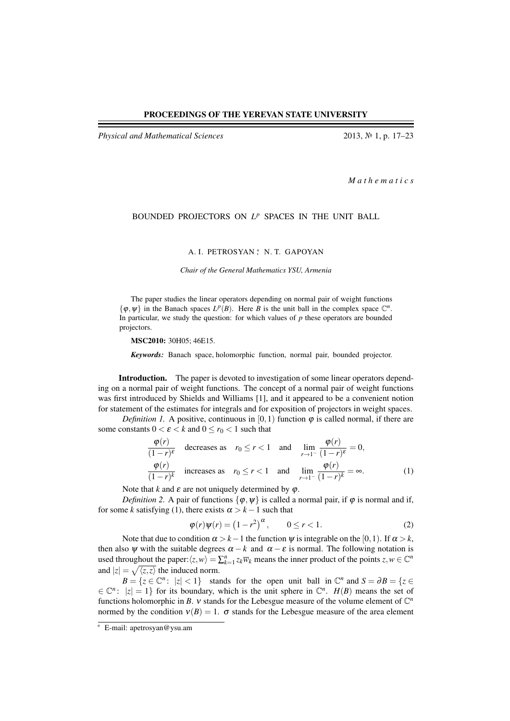*Physical and Mathematical Sciences* 2013, № 1, p. 17–23

*M a t h e m a t i c s*

## BOUNDED PROJECTORS ON *L <sup>p</sup>* SPACES IN THE UNIT BALL

A. I. PETROSYAN<sup>\*</sup>, N. T. GAPOYAN

*Chair of the General Mathematics YSU, Armenia*

The paper studies the linear operators depending on normal pair of weight functions  $\{\varphi, \psi\}$  in the Banach spaces  $L^p(B)$ . Here *B* is the unit ball in the complex space  $\mathbb{C}^n$ . In particular, we study the question: for which values of  $p$  these operators are bounded projectors.

MSC2010: 30H05; 46E15.

*Keywords:* Banach space, holomorphic function, normal pair, bounded projector.

Introduction. The paper is devoted to investigation of some linear operators depending on a normal pair of weight functions. The concept of a normal pair of weight functions was first introduced by Shields and Williams [1], and it appeared to be a convenient notion for statement of the estimates for integrals and for exposition of projectors in weight spaces.

*Definition 1.* A positive, continuous in  $[0,1)$  function  $\varphi$  is called normal, if there are some constants  $0 < \varepsilon < k$  and  $0 \le r_0 < 1$  such that

$$
\frac{\varphi(r)}{(1-r)^{\varepsilon}} \quad \text{decreases as} \quad r_0 \le r < 1 \quad \text{and} \quad \lim_{r \to 1^{-}} \frac{\varphi(r)}{(1-r)^{\varepsilon}} = 0,
$$
\n
$$
\frac{\varphi(r)}{(1-r)^k} \quad \text{increases as} \quad r_0 \le r < 1 \quad \text{and} \quad \lim_{r \to 1^{-}} \frac{\varphi(r)}{(1-r)^k} = \infty. \tag{1}
$$

Note that  $k$  and  $\varepsilon$  are not uniquely determined by  $\varphi$ .

*Definition 2.* A pair of functions  $\{\varphi, \psi\}$  is called a normal pair, if  $\varphi$  is normal and if, for some *k* satisfying (1), there exists  $\alpha > k - 1$  such that

$$
\varphi(r)\psi(r) = \left(1 - r^2\right)^\alpha, \qquad 0 \le r < 1. \tag{2}
$$

Note that due to condition  $\alpha > k-1$  the function  $\psi$  is integrable on the [0,1). If  $\alpha > k$ , then also  $\psi$  with the suitable degrees  $\alpha - k$  and  $\alpha - \varepsilon$  is normal. The following notation is used throughout the paper: $\langle z, w \rangle = \sum_{k=1}^{n} z_k \overline{w}_k$  means the inner product of the points  $z, w \in \mathbb{C}^n$ and  $|z| = \sqrt{\langle z, z \rangle}$  the induced norm.

 $B = \{z \in \mathbb{C}^n : |z| < 1\}$  stands for the open unit ball in  $\mathbb{C}^n$  and  $S = \partial B = \{z \in \mathbb{C}^n : |z| < 1\}$  $\in \mathbb{C}^n$ :  $|z| = 1$ } for its boundary, which is the unit sphere in  $\mathbb{C}^n$ . *H(B)* means the set of functions holomorphic in *B*. *v* stands for the Lebesgue measure of the volume element of  $\mathbb{C}^n$ normed by the condition  $v(B) = 1$ .  $\sigma$  stands for the Lebesgue measure of the area element

<sup>∗</sup> E-mail: apetrosyan@ysu.am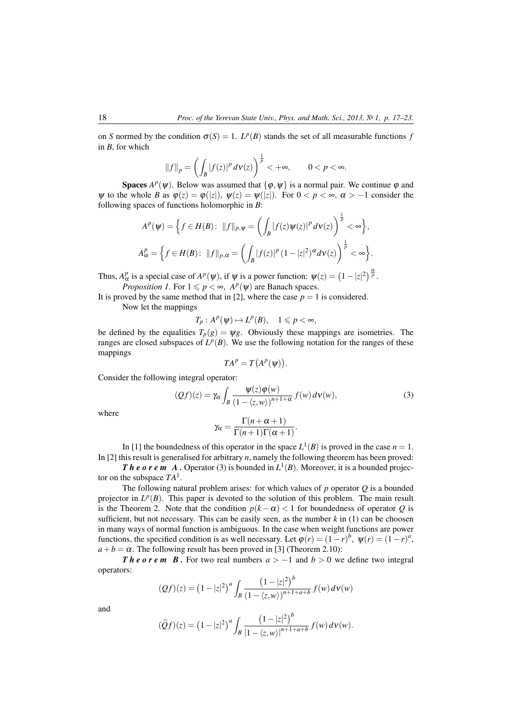on *S* normed by the condition  $\sigma(S) = 1$ .  $L^p(B)$  stands the set of all measurable functions *f* in *B*, for which

$$
||f||_p = \left(\int_B |f(z)|^p \, d\mathbf{v}(z)\right)^{\frac{1}{p}} < +\infty, \qquad 0 < p < \infty.
$$

**Spaces**  $A^p(\psi)$ . Below was assumed that  $\{\varphi, \psi\}$  is a normal pair. We continue  $\varphi$  and  $\Psi$  to the whole *B* as  $\varphi(z) = \varphi(|z|)$ ,  $\Psi(z) = \Psi(|z|)$ . For  $0 < p < \infty$ ,  $\alpha > -1$  consider the following spaces of functions holomorphic in *B*:

$$
Ap(\psi) = \left\{ f \in H(B): ||f||_{p,\psi} = \left( \int_B |f(z)\psi(z)|^p \, d\mathsf{v}(z) \right)^{\frac{1}{p}} < \infty \right\},\
$$
  

$$
A^p_\alpha = \left\{ f \in H(B): ||f||_{p,\alpha} = \left( \int_B |f(z)|^p \, (1-|z|^2)^\alpha \, d\mathsf{v}(z) \right)^{\frac{1}{p}} < \infty \right\}.
$$

Thus,  $A^p_\alpha$  is a special case of  $A^p(\psi)$ , if  $\psi$  is a power function:  $\psi(z) = (1 - |z|^2)^{\frac{\alpha}{p}}$ . *Proposition 1*. For  $1 \leq p < \infty$ ,  $A^p(\psi)$  are Banach spaces.

It is proved by the same method that in [2], where the case  $p = 1$  is considered.

Now let the mappings

 $T_p: A^p(\psi) \mapsto L^p(B), \quad 1 \leqslant p < \infty,$ 

be defined by the equalities  $T_p(g) = \psi g$ . Obviously these mappings are isometries. The ranges are closed subspaces of  $L^p(B)$ . We use the following notation for the ranges of these mappings

$$
TA^p = T(A^p(\psi)).
$$

Consider the following integral operator:

$$
(Qf)(z) = \gamma_{\alpha} \int_{B} \frac{\Psi(z)\varphi(w)}{\left(1 - \langle z, w \rangle\right)^{n+1+\alpha}} f(w) d\nu(w), \tag{3}
$$

where

$$
\gamma_{\alpha} = \frac{\Gamma(n+\alpha+1)}{\Gamma(n+1)\Gamma(\alpha+1)}.
$$

In [1] the boundedness of this operator in the space  $L^1(B)$  is proved in the case  $n = 1$ . In [2] this result is generalised for arbitrary *n*, namely the following theorem has been proved:

*Theorem A.* Operator (3) is bounded in  $L^1(B)$ . Moreover, it is a bounded projector on the subspace *TA*<sup>1</sup> .

The following natural problem arises: for which values of *p* operator *Q* is a bounded projector in  $L^p(B)$ . This paper is devoted to the solution of this problem. The main result is the Theorem 2. Note that the condition  $p(k - \alpha) < 1$  for boundedness of operator *Q* is sufficient, but not necessary. This can be easily seen, as the number  $k$  in (1) can be choosen in many ways of normal function is ambiguous. In the case when weight functions are power functions, the specified condition is as well necessary. Let  $\varphi(r) = (1 - r)^b$ ,  $\psi(r) = (1 - r)^a$ ,  $a + b = \alpha$ . The following result has been proved in [3] (Theorem 2.10):

*Theorem B.* For two real numbers  $a > -1$  and  $b > 0$  we define two integral operators:

$$
(Qf)(z) = (1-|z|^2)^a \int_B \frac{\left(1-|z|^2\right)^b}{\left(1-\langle z,w\rangle\right)^{n+1+a+b}} f(w) \, d\mathbf{v}(w)
$$

and

$$
(\widetilde{Q}f)(z) = (1-|z|^2)^a \int_B \frac{\left(1-|z|^2\right)^b}{\left|1-\langle z,w\rangle\right|^{n+1+a+b}} f(w) d\nu(w).
$$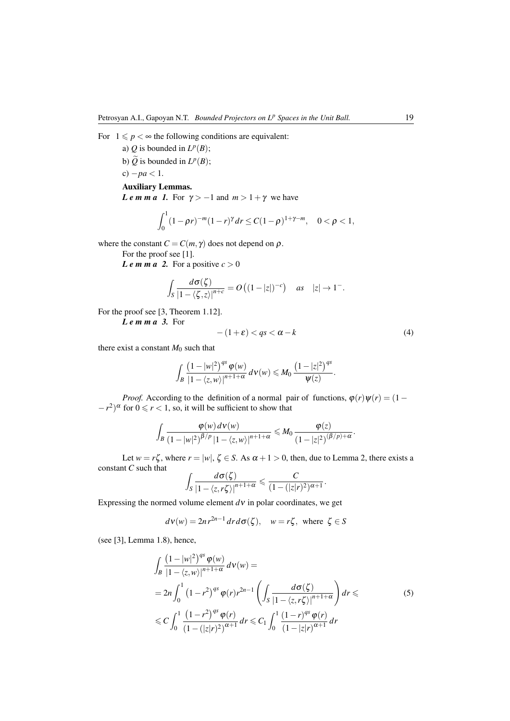- a) *Q* is bounded in  $L^p(B)$ ;
- b)  $\widetilde{Q}$  is bounded in  $L^p(B)$ ;
- c)  $-pa < 1$ .

## Auxiliary Lemmas.

*Le m m a 1.* For  $\gamma$  > -1 and  $m$  > 1+ $\gamma$  we have

$$
\int_0^1 (1 - \rho r)^{-m} (1 - r)^{\gamma} dr \le C (1 - \rho)^{1 + \gamma - m}, \quad 0 < \rho < 1,
$$

where the constant  $C = C(m, \gamma)$  does not depend on  $\rho$ .

For the proof see [1].

*Le m m a* 2. For a positive  $c > 0$ 

$$
\int_{S} \frac{d\sigma(\zeta)}{\left|1-\langle\zeta,z\rangle\right|^{n+c}} = O\left((1-|z|)^{-c}\right) \quad \text{as} \quad |z| \to 1^-.
$$

For the proof see [3, Theorem 1.12].

*L e m m a 3.* For

$$
-(1+\varepsilon) < qs < \alpha - k \tag{4}
$$

there exist a constant  $M_0$  such that

$$
\int_{B} \frac{\left(1-|w|^2\right)^{qs} \varphi(w)}{\left|1-\langle z,w\rangle\right|^{n+1+\alpha}}\,d\nu(w) \leqslant M_0 \frac{\left(1-|z|^2\right)^{qs}}{\psi(z)}.
$$

*Proof.* According to the definition of a normal pair of functions,  $\varphi(r)\psi(r) = (1 (r - r^2)$ <sup> $\alpha$ </sup> for  $0 \le r < 1$ , so, it will be sufficient to show that

$$
\int_{B} \frac{\varphi(w) d\nu(w)}{\left(1-|w|^2\right)^{\beta/p} |1-\langle z,w\rangle|^{n+1+\alpha}} \leqslant M_0 \frac{\varphi(z)}{\left(1-|z|^2\right)^{(\beta/p)+\alpha}}.
$$

Let  $w = r\zeta$ , where  $r = |w|, \zeta \in S$ . As  $\alpha + 1 > 0$ , then, due to Lemma 2, there exists a constant *C* such that

$$
\int_{S} \frac{d\sigma(\zeta)}{\left|1-\langle z,r\zeta\rangle\right|^{n+1+\alpha}} \leq \frac{C}{(1-(|z|r)^2)^{\alpha+1}}.
$$

Expressing the normed volume element  $d\mathbf{v}$  in polar coordinates, we get

$$
d\nu(w) = 2nr^{2n-1} dr d\sigma(\zeta), \quad w = r\zeta, \text{ where } \zeta \in S
$$

(see [3], Lemma 1.8), hence,

$$
\int_{B} \frac{(1-|w|^2)^{qs} \varphi(w)}{|1-\langle z,w\rangle|^{n+1+\alpha}} d\nu(w) =
$$
\n
$$
= 2n \int_{0}^{1} (1-r^2)^{qs} \varphi(r)r^{2n-1} \left( \int_{S} \frac{d\sigma(\zeta)}{|1-\langle z,r\zeta\rangle|^{n+1+\alpha}} \right) dr \leq C \int_{0}^{1} \frac{(1-r^2)^{qs} \varphi(r)}{(1-(|z|r)^2)^{\alpha+1}} dr \leq C_1 \int_{0}^{1} \frac{(1-r)^{qs} \varphi(r)}{(1-|z|r)^{\alpha+1}} dr \qquad (5)
$$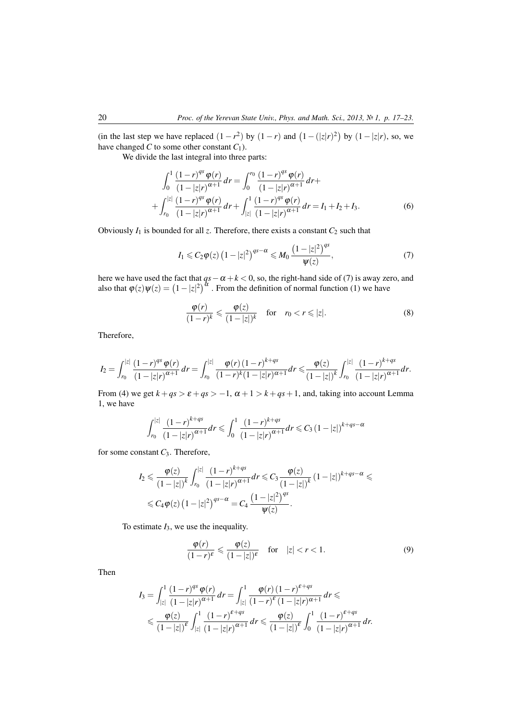(in the last step we have replaced  $(1 - r^2)$  by  $(1 - r)$  and  $(1 - (|z|r)^2)$  by  $(1 - |z|r)$ , so, we have changed *C* to some other constant  $C_1$ ).

We divide the last integral into three parts:

$$
\int_0^1 \frac{(1-r)^{qs} \varphi(r)}{(1-|z|r)^{\alpha+1}} dr = \int_0^{r_0} \frac{(1-r)^{qs} \varphi(r)}{(1-|z|r)^{\alpha+1}} dr + \int_{r_0}^{|z|} \frac{(1-r)^{qs} \varphi(r)}{(1-|z|r)^{\alpha+1}} dr + \int_{|z|}^1 \frac{(1-r)^{qs} \varphi(r)}{(1-|z|r)^{\alpha+1}} dr = I_1 + I_2 + I_3.
$$
 (6)

Obviously  $I_1$  is bounded for all  $z$ . Therefore, there exists a constant  $C_2$  such that

$$
I_1 \leqslant C_2 \varphi(z) \left(1 - |z|^2\right)^{qs - \alpha} \leqslant M_0 \frac{\left(1 - |z|^2\right)^{qs}}{\psi(z)},\tag{7}
$$

here we have used the fact that *qs*−α +*k* < 0, so, the right-hand side of (7) is away zero, and also that  $\varphi(z)\psi(z) = (1-|z|^2)^{\alpha}$ . From the definition of normal function (1) we have

$$
\frac{\varphi(r)}{(1-r)^k} \leq \frac{\varphi(z)}{(1-|z|)^k} \quad \text{for} \quad r_0 < r \leq |z|.
$$
\n(8)

Therefore,

$$
I_2 = \int_{r_0}^{|z|} \frac{(1-r)^{qs} \varphi(r)}{(1-|z|r)^{\alpha+1}} dr = \int_{r_0}^{|z|} \frac{\varphi(r) (1-r)^{k+qs}}{(1-r)^k (1-|z|r)^{\alpha+1}} dr \leq \frac{\varphi(z)}{(1-|z|)^k} \int_{r_0}^{|z|} \frac{(1-r)^{k+qs}}{(1-|z|r)^{\alpha+1}} dr.
$$

From (4) we get  $k + qs > \varepsilon + qs > -1$ ,  $\alpha + 1 > k + qs + 1$ , and, taking into account Lemma 1, we have

$$
\int_{r_0}^{|z|} \frac{(1-r)^{k+qs}}{(1-|z|r)^{\alpha+1}} dr \leq \int_0^1 \frac{(1-r)^{k+qs}}{(1-|z|r)^{\alpha+1}} dr \leq C_3 (1-|z|)^{k+qs-\alpha}
$$

for some constant *C*3. Therefore,

$$
I_2 \leq \frac{\varphi(z)}{(1-|z|)^k} \int_{r_0}^{|z|} \frac{(1-r)^{k+qs}}{(1-|z|r)^{\alpha+1}} dr \leq C_3 \frac{\varphi(z)}{(1-|z|)^k} (1-|z|)^{k+qs-\alpha} \leq
$$
  

$$
\leq C_4 \varphi(z) (1-|z|^2)^{qs-\alpha} = C_4 \frac{(1-|z|^2)^{qs}}{\psi(z)}.
$$

To estimate *I*3, we use the inequality.

$$
\frac{\varphi(r)}{(1-r)^{\varepsilon}} \leqslant \frac{\varphi(z)}{(1-|z|)^{\varepsilon}} \quad \text{for} \quad |z| < r < 1. \tag{9}
$$

Then

$$
I_3 = \int_{|z|}^1 \frac{(1-r)^{qs} \varphi(r)}{(1-|z|r)^{\alpha+1}} dr = \int_{|z|}^1 \frac{\varphi(r) (1-r)^{\varepsilon+qs}}{(1-r)^{\varepsilon} (1-|z|r)^{\alpha+1}} dr \leqslant
$$
  

$$
\leqslant \frac{\varphi(z)}{(1-|z|)^{\varepsilon}} \int_{|z|}^1 \frac{(1-r)^{\varepsilon+qs}}{(1-|z|r)^{\alpha+1}} dr \leqslant \frac{\varphi(z)}{(1-|z|)^{\varepsilon}} \int_0^1 \frac{(1-r)^{\varepsilon+qs}}{(1-|z|r)^{\alpha+1}} dr.
$$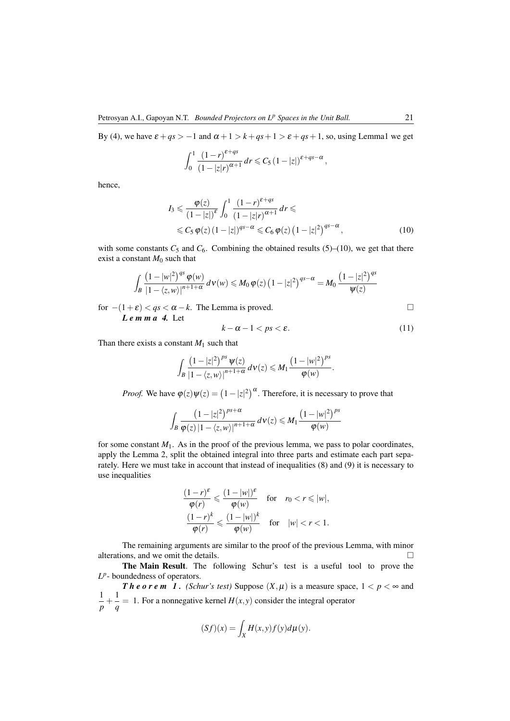By (4), we have  $\varepsilon + qs > -1$  and  $\alpha + 1 > k + qs + 1 > \varepsilon + qs + 1$ , so, using Lemma1 we get

$$
\int_0^1 \frac{(1-r)^{\varepsilon+qs}}{(1-|z|r)^{\alpha+1}} dr \leqslant C_5 \left(1-|z|\right)^{\varepsilon+qs-\alpha},
$$

hence,

$$
I_3 \leq \frac{\varphi(z)}{\left(1-|z|\right)^{\varepsilon}} \int_0^1 \frac{\left(1-r\right)^{\varepsilon+qs}}{\left(1-|z|r\right)^{\alpha+1}} dr \leqslant
$$
  
 
$$
\leqslant C_5 \varphi(z) \left(1-|z|\right)^{qs-\alpha} \leqslant C_6 \varphi(z) \left(1-|z|^2\right)^{qs-\alpha}, \tag{10}
$$

with some constants  $C_5$  and  $C_6$ . Combining the obtained results (5)–(10), we get that there exist a constant  $M_0$  such that

$$
\int_{B} \frac{\left(1-|w|^{2}\right)^{qs} \varphi(w)}{\left|1-\langle z,w\rangle\right|^{n+1+\alpha}} d\nu(w) \leqslant M_{0} \varphi(z) \left(1-|z|^{2}\right)^{qs-\alpha} = M_{0} \frac{\left(1-|z|^{2}\right)^{qs}}{\psi(z)}
$$

for −(1+ε) < *qs* < α −*k*. The Lemma is proved.

*L e m m a 4.* Let

$$
k - \alpha - 1 < ps < \varepsilon. \tag{11}
$$

Than there exists a constant  $M_1$  such that

$$
\int_{B} \frac{\left(1-|z|^2\right)^{ps} \psi(z)}{|1-\langle z,w\rangle|^{n+1+\alpha}} \, d\nu(z) \leq M_1 \frac{\left(1-|w|^2\right)^{ps}}{\varphi(w)}.
$$

*Proof.* We have  $\varphi(z)\psi(z) = (1 - |z|^2)^{\alpha}$ . Therefore, it is necessary to prove that

$$
\int_{B} \frac{\left(1-|z|^2\right)^{ps+\alpha}}{\varphi(z)\left|1-\langle z,w\rangle\right|^{n+1+\alpha}}\,d\nu(z)\leqslant M_1\frac{\left(1-|w|^2\right)^{ps}}{\varphi(w)}
$$

for some constant  $M_1$ . As in the proof of the previous lemma, we pass to polar coordinates, apply the Lemma 2, split the obtained integral into three parts and estimate each part separately. Here we must take in account that instead of inequalities (8) and (9) it is necessary to use inequalities

$$
\frac{(1-r)^{\varepsilon}}{\varphi(r)} \leq \frac{(1-|w|)^{\varepsilon}}{\varphi(w)} \quad \text{for} \quad r_0 < r \leq |w|,
$$
\n
$$
\frac{(1-r)^k}{\varphi(r)} \leq \frac{(1-|w|)^k}{\varphi(w)} \quad \text{for} \quad |w| < r < 1.
$$

The remaining arguments are similar to the proof of the previous Lemma, with minor alterations, and we omit the details.  $\Box$ 

The Main Result. The following Schur's test is a useful tool to prove the  $L^p$ - boundedness of operators.

*Theorem 1. (Schur's test)* Suppose  $(X, \mu)$  is a measure space,  $1 < p < \infty$  and 1  $\frac{1}{p} + \frac{1}{q}$  $\frac{1}{q}$  = 1. For a nonnegative kernel  $H(x, y)$  consider the integral operator

$$
(Sf)(x) = \int_X H(x, y) f(y) d\mu(y).
$$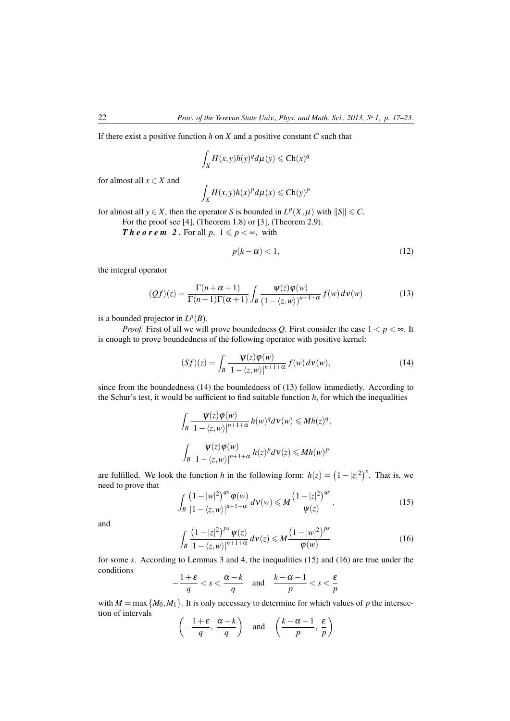If there exist a positive function *h* on *X* and a positive constant *C* such that

$$
\int_X H(x, y) h(y)^q d\mu(y) \leq C h(x)^q
$$

for almost all  $x \in X$  and

$$
\int_X H(x, y)h(x)^p d\mu(x) \leq C h(y)^p
$$

for almost all  $y \in X$ , then the operator *S* is bounded in  $L^p(X, \mu)$  with  $||S|| \leq C$ .

For the proof see [4], (Theorem 1.8) or [3], (Theorem 2.9).

*Theorem 2.* For all  $p, 1 \leqslant p < \infty$ , with

$$
p(k - \alpha) < 1,\tag{12}
$$

the integral operator

$$
(Qf)(z) = \frac{\Gamma(n+\alpha+1)}{\Gamma(n+1)\Gamma(\alpha+1)} \int_{B} \frac{\psi(z)\varphi(w)}{(1-\langle z,w \rangle)^{n+1+\alpha}} f(w) \, d\mathsf{v}(w) \tag{13}
$$

is a bounded projector in  $L^p(B)$ .

*Proof.* First of all we will prove boundedness *Q*. First consider the case  $1 < p < \infty$ . It is enough to prove boundedness of the following operator with positive kernel:

$$
(Sf)(z) = \int_{B} \frac{\psi(z)\varphi(w)}{\left|1 - \langle z, w \rangle\right|^{n+1+\alpha}} f(w) \, d\mathbf{v}(w),\tag{14}
$$

since from the boundedness (14) the boundedness of (13) follow immedietly. According to the Schur's test, it would be sufficient to find suitable function *h*, for which the inequalities

$$
\int_{B} \frac{\Psi(z)\varphi(w)}{\left|1 - \langle z, w \rangle\right|^{n+1+\alpha}} h(w)^{q} d\mathbf{v}(w) \leq Mh(z)^{q},
$$
  

$$
\int_{B} \frac{\Psi(z)\varphi(w)}{\left|1 - \langle z, w \rangle\right|^{n+1+\alpha}} h(z)^{p} d\mathbf{v}(z) \leq Mh(w)^{p}
$$

are fulfilled. We look the function *h* in the following form:  $h(z) = (1 - |z|^2)^s$ . That is, we need to prove that

$$
\int_{B} \frac{\left(1-|w|^2\right)^{qs} \varphi(w)}{|1-\langle z,w\rangle|^{n+1+\alpha}} \, d\nu(w) \leq M \frac{\left(1-|z|^2\right)^{qs}}{\psi(z)},\tag{15}
$$

and

$$
\int_{B} \frac{\left(1-|z|^2\right)^{ps} \psi(z)}{|1-\langle z,w\rangle|^{n+1+\alpha}} d\nu(z) \leqslant M \frac{\left(1-|w|^2\right)^{ps}}{\varphi(w)}\tag{16}
$$

for some *s*. According to Lemmas 3 and 4, the inequalities (15) and (16) are true under the conditions

$$
-\frac{1+\varepsilon}{q} < s < \frac{\alpha-k}{q} \quad \text{and} \quad \frac{k-\alpha-1}{p} < s < \frac{\varepsilon}{p}
$$

with  $M = \max \{M_0, M_1\}$ . It is only necessary to determine for which values of p the intersection of intervals

$$
\left(-\frac{1+\varepsilon}{q}, \frac{\alpha-k}{q}\right)
$$
 and  $\left(\frac{k-\alpha-1}{p}, \frac{\varepsilon}{p}\right)$